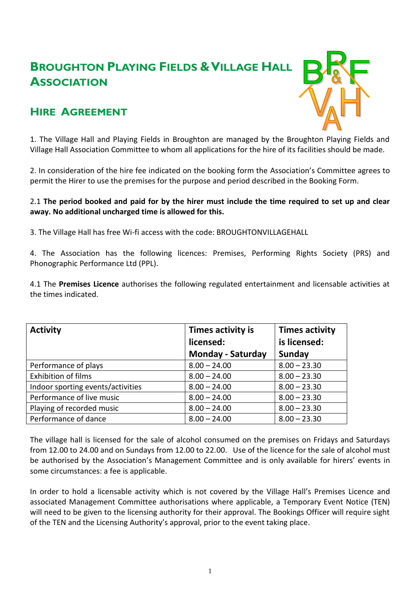# **BROUGHTON PLAYING FIELDS &VILLAGE HALL ASSOCIATION**

# **HIRE AGREEMENT**



1. The Village Hall and Playing Fields in Broughton are managed by the Broughton Playing Fields and Village Hall Association Committee to whom all applications for the hire of its facilities should be made.

2. In consideration of the hire fee indicated on the booking form the Association's Committee agrees to permit the Hirer to use the premises for the purpose and period described in the Booking Form.

# 2.1 **The period booked and paid for by the hirer must include the time required to set up and clear away. No additional uncharged time is allowed for this.**

3. The Village Hall has free Wi-fi access with the code: BROUGHTONVILLAGEHALL

4. The Association has the following licences: Premises, Performing Rights Society (PRS) and Phonographic Performance Ltd (PPL).

4.1 The **Premises Licence** authorises the following regulated entertainment and licensable activities at the times indicated.

| <b>Activity</b>                   | Times activity is        | <b>Times activity</b> |
|-----------------------------------|--------------------------|-----------------------|
|                                   | licensed:                | is licensed:          |
|                                   | <b>Monday - Saturday</b> | Sunday                |
| Performance of plays              | $8.00 - 24.00$           | $8.00 - 23.30$        |
| <b>Exhibition of films</b>        | $8.00 - 24.00$           | $8.00 - 23.30$        |
| Indoor sporting events/activities | $8.00 - 24.00$           | $8.00 - 23.30$        |
| Performance of live music         | $8.00 - 24.00$           | $8.00 - 23.30$        |
| Playing of recorded music         | $8.00 - 24.00$           | $8.00 - 23.30$        |
| Performance of dance              | $8.00 - 24.00$           | $8.00 - 23.30$        |

The village hall is licensed for the sale of alcohol consumed on the premises on Fridays and Saturdays from 12.00 to 24.00 and on Sundays from 12.00 to 22.00. Use of the licence for the sale of alcohol must be authorised by the Association's Management Committee and is only available for hirers' events in some circumstances: a fee is applicable.

In order to hold a licensable activity which is not covered by the Village Hall's Premises Licence and associated Management Committee authorisations where applicable, a Temporary Event Notice (TEN) will need to be given to the licensing authority for their approval. The Bookings Officer will require sight of the TEN and the Licensing Authority's approval, prior to the event taking place.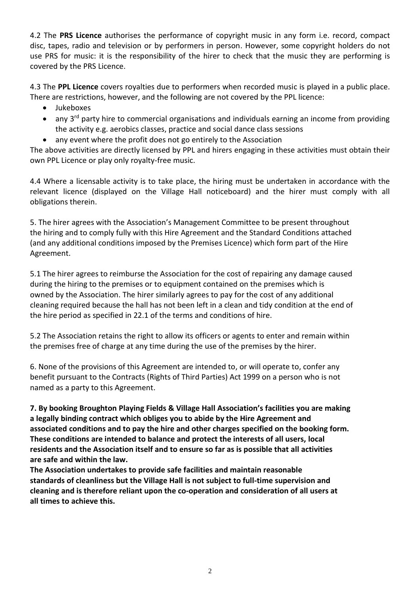4.2 The **PRS Licence** authorises the performance of copyright music in any form i.e. record, compact disc, tapes, radio and television or by performers in person. However, some copyright holders do not use PRS for music: it is the responsibility of the hirer to check that the music they are performing is covered by the PRS Licence.

4.3 The **PPL Licence** covers royalties due to performers when recorded music is played in a public place. There are restrictions, however, and the following are not covered by the PPL licence:

- Jukeboxes
- any 3<sup>rd</sup> party hire to commercial organisations and individuals earning an income from providing the activity e.g. aerobics classes, practice and social dance class sessions
- any event where the profit does not go entirely to the Association

The above activities are directly licensed by PPL and hirers engaging in these activities must obtain their own PPL Licence or play only royalty-free music.

4.4 Where a licensable activity is to take place, the hiring must be undertaken in accordance with the relevant licence (displayed on the Village Hall noticeboard) and the hirer must comply with all obligations therein.

5. The hirer agrees with the Association's Management Committee to be present throughout the hiring and to comply fully with this Hire Agreement and the Standard Conditions attached (and any additional conditions imposed by the Premises Licence) which form part of the Hire Agreement.

5.1 The hirer agrees to reimburse the Association for the cost of repairing any damage caused during the hiring to the premises or to equipment contained on the premises which is owned by the Association. The hirer similarly agrees to pay for the cost of any additional cleaning required because the hall has not been left in a clean and tidy condition at the end of the hire period as specified in 22.1 of the terms and conditions of hire.

5.2 The Association retains the right to allow its officers or agents to enter and remain within the premises free of charge at any time during the use of the premises by the hirer.

6. None of the provisions of this Agreement are intended to, or will operate to, confer any benefit pursuant to the Contracts (Rights of Third Parties) Act 1999 on a person who is not named as a party to this Agreement.

**7. By booking Broughton Playing Fields & Village Hall Association's facilities you are making a legally binding contract which obliges you to abide by the Hire Agreement and associated conditions and to pay the hire and other charges specified on the booking form. These conditions are intended to balance and protect the interests of all users, local residents and the Association itself and to ensure so far as is possible that all activities are safe and within the law.**

**The Association undertakes to provide safe facilities and maintain reasonable standards of cleanliness but the Village Hall is not subject to full-time supervision and cleaning and is therefore reliant upon the co-operation and consideration of all users at all times to achieve this.**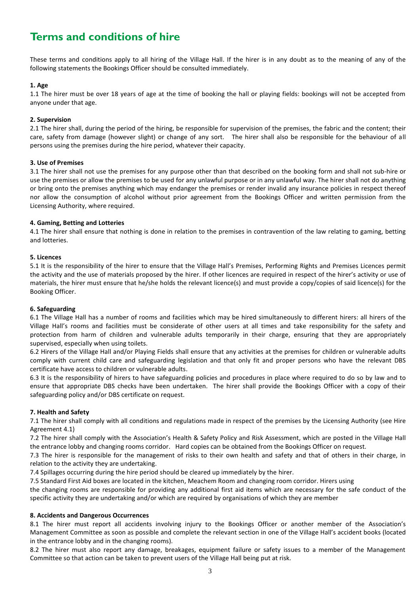# **Terms and conditions of hire**

These terms and conditions apply to all hiring of the Village Hall. If the hirer is in any doubt as to the meaning of any of the following statements the Bookings Officer should be consulted immediately.

# **1. Age**

1.1 The hirer must be over 18 years of age at the time of booking the hall or playing fields: bookings will not be accepted from anyone under that age.

#### **2. Supervision**

2.1 The hirer shall, during the period of the hiring, be responsible for supervision of the premises, the fabric and the content; their care, safety from damage (however slight) or change of any sort. The hirer shall also be responsible for the behaviour of all persons using the premises during the hire period, whatever their capacity.

# **3. Use of Premises**

3.1 The hirer shall not use the premises for any purpose other than that described on the booking form and shall not sub-hire or use the premises or allow the premises to be used for any unlawful purpose or in any unlawful way. The hirer shall not do anything or bring onto the premises anything which may endanger the premises or render invalid any insurance policies in respect thereof nor allow the consumption of alcohol without prior agreement from the Bookings Officer and written permission from the Licensing Authority, where required.

# **4. Gaming, Betting and Lotteries**

4.1 The hirer shall ensure that nothing is done in relation to the premises in contravention of the law relating to gaming, betting and lotteries.

# **5. Licences**

5.1 It is the responsibility of the hirer to ensure that the Village Hall's Premises, Performing Rights and Premises Licences permit the activity and the use of materials proposed by the hirer. If other licences are required in respect of the hirer's activity or use of materials, the hirer must ensure that he/she holds the relevant licence(s) and must provide a copy/copies of said licence(s) for the Booking Officer.

#### **6. Safeguarding**

6.1 The Village Hall has a number of rooms and facilities which may be hired simultaneously to different hirers: all hirers of the Village Hall's rooms and facilities must be considerate of other users at all times and take responsibility for the safety and protection from harm of children and vulnerable adults temporarily in their charge, ensuring that they are appropriately supervised, especially when using toilets.

6.2 Hirers of the Village Hall and/or Playing Fields shall ensure that any activities at the premises for children or vulnerable adults comply with current child care and safeguarding legislation and that only fit and proper persons who have the relevant DBS certificate have access to children or vulnerable adults.

6.3 It is the responsibility of hirers to have safeguarding policies and procedures in place where required to do so by law and to ensure that appropriate DBS checks have been undertaken. The hirer shall provide the Bookings Officer with a copy of their safeguarding policy and/or DBS certificate on request.

# **7. Health and Safety**

7.1 The hirer shall comply with all conditions and regulations made in respect of the premises by the Licensing Authority (see Hire Agreement 4.1)

7.2 The hirer shall comply with the Association's Health & Safety Policy and Risk Assessment, which are posted in the Village Hall the entrance lobby and changing rooms corridor. Hard copies can be obtained from the Bookings Officer on request.

7.3 The hirer is responsible for the management of risks to their own health and safety and that of others in their charge, in relation to the activity they are undertaking.

7.4 Spillages occurring during the hire period should be cleared up immediately by the hirer.

7.5 Standard First Aid boxes are located in the kitchen, Meachem Room and changing room corridor. Hirers using the changing rooms are responsible for providing any additional first aid items which are necessary for the safe conduct of the specific activity they are undertaking and/or which are required by organisations of which they are member

#### **8. Accidents and Dangerous Occurrences**

8.1 The hirer must report all accidents involving injury to the Bookings Officer or another member of the Association's Management Committee as soon as possible and complete the relevant section in one of the Village Hall's accident books (located in the entrance lobby and in the changing rooms).

8.2 The hirer must also report any damage, breakages, equipment failure or safety issues to a member of the Management Committee so that action can be taken to prevent users of the Village Hall being put at risk.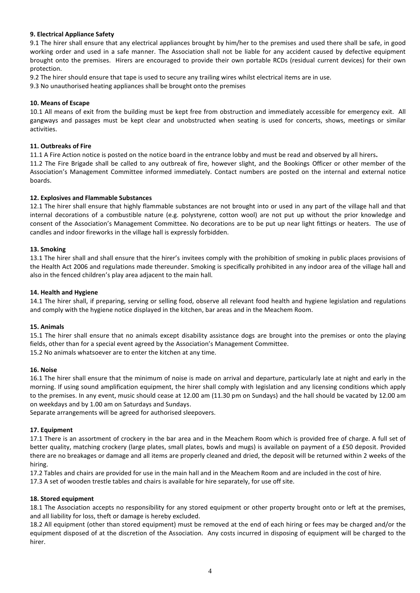# **9. Electrical Appliance Safety**

9.1 The hirer shall ensure that any electrical appliances brought by him/her to the premises and used there shall be safe, in good working order and used in a safe manner. The Association shall not be liable for any accident caused by defective equipment brought onto the premises. Hirers are encouraged to provide their own portable RCDs (residual current devices) for their own protection.

9.2 The hirer should ensure that tape is used to secure any trailing wires whilst electrical items are in use.

9.3 No unauthorised heating appliances shall be brought onto the premises

#### **10. Means of Escape**

10.1 All means of exit from the building must be kept free from obstruction and immediately accessible for emergency exit. All gangways and passages must be kept clear and unobstructed when seating is used for concerts, shows, meetings or similar activities.

#### **11. Outbreaks of Fire**

11.1 A Fire Action notice is posted on the notice board in the entrance lobby and must be read and observed by all hirers**.**

11.2 The Fire Brigade shall be called to any outbreak of fire, however slight, and the Bookings Officer or other member of the Association's Management Committee informed immediately. Contact numbers are posted on the internal and external notice boards.

#### **12. Explosives and Flammable Substances**

12.1 The hirer shall ensure that highly flammable substances are not brought into or used in any part of the village hall and that internal decorations of a combustible nature (e.g. polystyrene, cotton wool) are not put up without the prior knowledge and consent of the Association's Management Committee. No decorations are to be put up near light fittings or heaters. The use of candles and indoor fireworks in the village hall is expressly forbidden.

#### **13. Smoking**

13.1 The hirer shall and shall ensure that the hirer's invitees comply with the prohibition of smoking in public places provisions of the Health Act 2006 and regulations made thereunder. Smoking is specifically prohibited in any indoor area of the village hall and also in the fenced children's play area adjacent to the main hall.

#### **14. Health and Hygiene**

14.1 The hirer shall, if preparing, serving or selling food, observe all relevant food health and hygiene legislation and regulations and comply with the hygiene notice displayed in the kitchen, bar areas and in the Meachem Room.

#### **15. Animals**

15.1 The hirer shall ensure that no animals except disability assistance dogs are brought into the premises or onto the playing fields, other than for a special event agreed by the Association's Management Committee. 15.2 No animals whatsoever are to enter the kitchen at any time.

#### **16. Noise**

16.1 The hirer shall ensure that the minimum of noise is made on arrival and departure, particularly late at night and early in the morning. If using sound amplification equipment, the hirer shall comply with legislation and any licensing conditions which apply to the premises. In any event, music should cease at 12.00 am (11.30 pm on Sundays) and the hall should be vacated by 12.00 am on weekdays and by 1.00 am on Saturdays and Sundays.

Separate arrangements will be agreed for authorised sleepovers.

#### **17. Equipment**

17.1 There is an assortment of crockery in the bar area and in the Meachem Room which is provided free of charge. A full set of better quality, matching crockery (large plates, small plates, bowls and mugs) is available on payment of a £50 deposit. Provided there are no breakages or damage and all items are properly cleaned and dried, the deposit will be returned within 2 weeks of the hiring.

17.2 Tables and chairs are provided for use in the main hall and in the Meachem Room and are included in the cost of hire.

17.3 A set of wooden trestle tables and chairs is available for hire separately, for use off site.

#### **18. Stored equipment**

18.1 The Association accepts no responsibility for any stored equipment or other property brought onto or left at the premises, and all liability for loss, theft or damage is hereby excluded.

18.2 All equipment (other than stored equipment) must be removed at the end of each hiring or fees may be charged and/or the equipment disposed of at the discretion of the Association. Any costs incurred in disposing of equipment will be charged to the hirer.